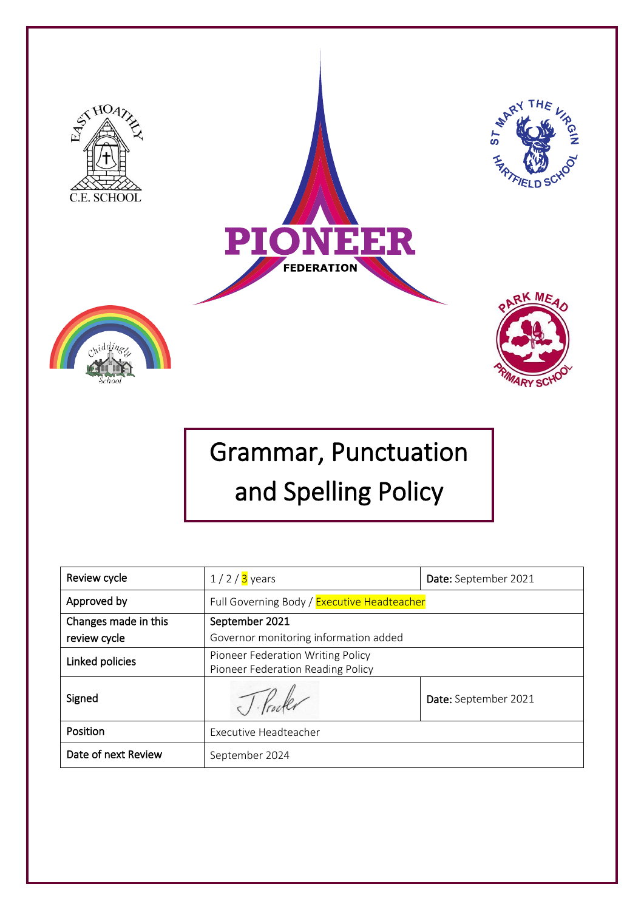

# Grammar, Punctuation and Spelling Policy

| Review cycle                         | $1/2/3$ years                                                          | Date: September 2021 |
|--------------------------------------|------------------------------------------------------------------------|----------------------|
| Approved by                          | Full Governing Body / Executive Headteacher                            |                      |
| Changes made in this<br>review cycle | September 2021<br>Governor monitoring information added                |                      |
| Linked policies                      | Pioneer Federation Writing Policy<br>Pioneer Federation Reading Policy |                      |
| Signed                               |                                                                        | Date: September 2021 |
| Position                             | Executive Headteacher                                                  |                      |
| Date of next Review                  | September 2024                                                         |                      |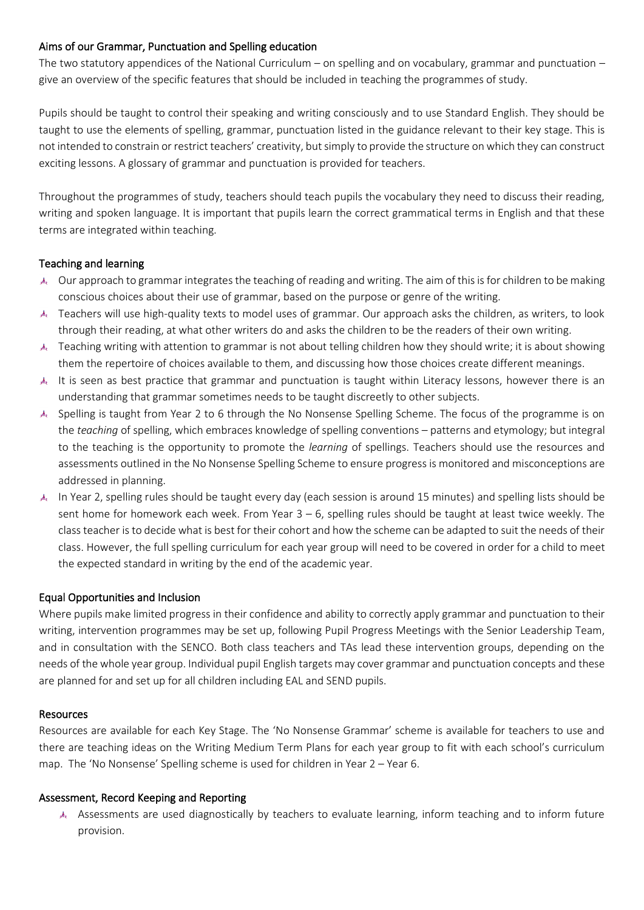## Aims of our Grammar, Punctuation and Spelling education

The two statutory appendices of the National Curriculum – on spelling and on vocabulary, grammar and punctuation – give an overview of the specific features that should be included in teaching the programmes of study.

Pupils should be taught to control their speaking and writing consciously and to use Standard English. They should be taught to use the elements of spelling, grammar, punctuation listed in the guidance relevant to their key stage. This is not intended to constrain or restrict teachers' creativity, but simply to provide the structure on which they can construct exciting lessons. A glossary of grammar and punctuation is provided for teachers.

Throughout the programmes of study, teachers should teach pupils the vocabulary they need to discuss their reading, writing and spoken language. It is important that pupils learn the correct grammatical terms in English and that these terms are integrated within teaching.

### Teaching and learning

- Our approach to grammar integrates the teaching of reading and writing. The aim of this is for children to be making conscious choices about their use of grammar, based on the purpose or genre of the writing.
- Teachers will use high-quality texts to model uses of grammar. Our approach asks the children, as writers, to look through their reading, at what other writers do and asks the children to be the readers of their own writing.
- Teaching writing with attention to grammar is not about telling children how they should write; it is about showing them the repertoire of choices available to them, and discussing how those choices create different meanings.
- It is seen as best practice that grammar and punctuation is taught within Literacy lessons, however there is an understanding that grammar sometimes needs to be taught discreetly to other subjects.
- Spelling is taught from Year 2 to 6 through the No Nonsense Spelling Scheme. The focus of the programme is on the *teaching* of spelling, which embraces knowledge of spelling conventions – patterns and etymology; but integral to the teaching is the opportunity to promote the *learning* of spellings. Teachers should use the resources and assessments outlined in the No Nonsense Spelling Scheme to ensure progress is monitored and misconceptions are addressed in planning.
- In Year 2, spelling rules should be taught every day (each session is around 15 minutes) and spelling lists should be sent home for homework each week. From Year 3 – 6, spelling rules should be taught at least twice weekly. The class teacher is to decide what is best for their cohort and how the scheme can be adapted to suit the needs of their class. However, the full spelling curriculum for each year group will need to be covered in order for a child to meet the expected standard in writing by the end of the academic year.

#### Equal Opportunities and Inclusion

Where pupils make limited progress in their confidence and ability to correctly apply grammar and punctuation to their writing, intervention programmes may be set up, following Pupil Progress Meetings with the Senior Leadership Team, and in consultation with the SENCO. Both class teachers and TAs lead these intervention groups, depending on the needs of the whole year group. Individual pupil English targets may cover grammar and punctuation concepts and these are planned for and set up for all children including EAL and SEND pupils.

#### **Resources**

Resources are available for each Key Stage. The 'No Nonsense Grammar' scheme is available for teachers to use and there are teaching ideas on the Writing Medium Term Plans for each year group to fit with each school's curriculum map. The 'No Nonsense' Spelling scheme is used for children in Year 2 – Year 6.

#### Assessment, Record Keeping and Reporting

Assessments are used diagnostically by teachers to evaluate learning, inform teaching and to inform future provision.